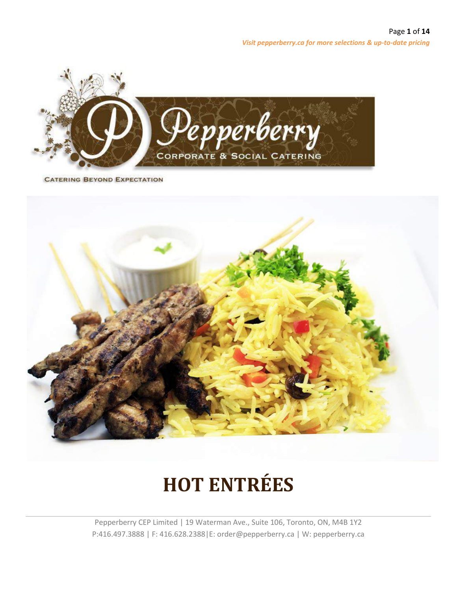

**CATERING BEYOND EXPECTATION** 



# **HOT ENTRÉES**

Pepperberry CEP Limited | 19 Waterman Ave., Suite 106, Toronto, ON, M4B 1Y2 P:416.497.3888 | F: 416.628.2388|E: order@pepperberry.ca | W: pepperberry.ca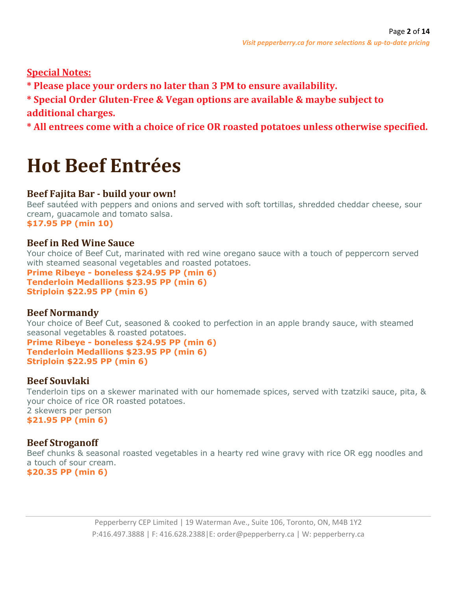**Special Notes:**

**\* Please place your orders no later than 3 PM to ensure availability.**

**\* Special Order Gluten-Free & Vegan options are available & maybe subject to additional charges.**

**\* All entrees come with a choice of rice OR roasted potatoes unless otherwise specified.**

# **Hot Beef Entrées**

# **Beef Fajita Bar - build your own!**

Beef sautéed with peppers and onions and served with soft tortillas, shredded cheddar cheese, sour cream, guacamole and tomato salsa. **\$17.95 PP (min 10)**

# **Beef in Red Wine Sauce**

Your choice of Beef Cut, marinated with red wine oregano sauce with a touch of peppercorn served with steamed seasonal vegetables and roasted potatoes.

**Prime Ribeye - boneless \$24.95 PP (min 6) Tenderloin Medallions \$23.95 PP (min 6) Striploin \$22.95 PP (min 6)**

# **Beef Normandy**

Your choice of Beef Cut, seasoned & cooked to perfection in an apple brandy sauce, with steamed seasonal vegetables & roasted potatoes.

**Prime Ribeye - boneless \$24.95 PP (min 6) Tenderloin Medallions \$23.95 PP (min 6) Striploin \$22.95 PP (min 6)**

# **Beef Souvlaki**

Tenderloin tips on a skewer marinated with our homemade spices, served with tzatziki sauce, pita, & your choice of rice OR roasted potatoes. 2 skewers per person **\$21.95 PP (min 6)**

# **Beef Stroganoff**

Beef chunks & seasonal roasted vegetables in a hearty red wine gravy with rice OR egg noodles and a touch of sour cream.

**\$20.35 PP (min 6)**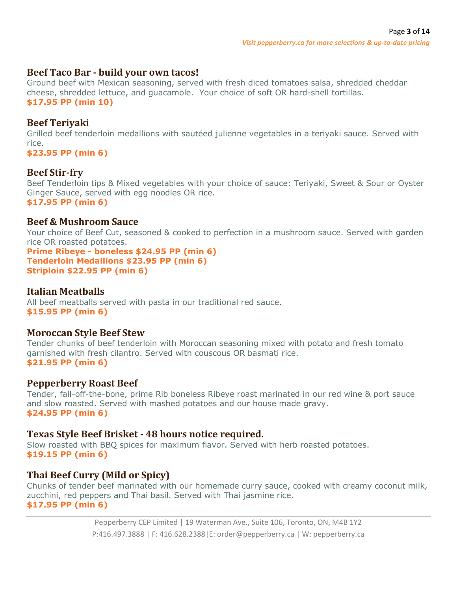#### **Beef Taco Bar - build your own tacos!**

Ground beef with Mexican seasoning, served with fresh diced tomatoes salsa, shredded cheddar cheese, shredded lettuce, and guacamole. Your choice of soft OR hard-shell tortillas. **\$17.95 PP (min 10)**

#### **Beef Teriyaki**

Grilled beef tenderloin medallions with sautéed julienne vegetables in a teriyaki sauce. Served with rice.

**\$23.95 PP (min 6)**

#### **Beef Stir-fry**

Beef Tenderloin tips & Mixed vegetables with your choice of sauce: Teriyaki, Sweet & Sour or Oyster Ginger Sauce, served with egg noodles OR rice. **\$17.95 PP (min 6)**

#### **Beef & Mushroom Sauce**

Your choice of Beef Cut, seasoned & cooked to perfection in a mushroom sauce. Served with garden rice OR roasted potatoes.

**Prime Ribeye - boneless \$24.95 PP (min 6) Tenderloin Medallions \$23.95 PP (min 6) Striploin \$22.95 PP (min 6)**

### **Italian Meatballs**

All beef meatballs served with pasta in our traditional red sauce. **\$15.95 PP (min 6)**

#### **Moroccan Style Beef Stew**

Tender chunks of beef tenderloin with Moroccan seasoning mixed with potato and fresh tomato garnished with fresh cilantro. Served with couscous OR basmati rice. **\$21.95 PP (min 6)**

#### **Pepperberry Roast Beef**

Tender, fall-off-the-bone, prime Rib boneless Ribeye roast marinated in our red wine & port sauce and slow roasted. Served with mashed potatoes and our house made gravy. **\$24.95 PP (min 6)**

#### **Texas Style Beef Brisket - 48 hours notice required.**

Slow roasted with BBQ spices for maximum flavor. Served with herb roasted potatoes. **\$19.15 PP (min 6)**

# **Thai Beef Curry (Mild or Spicy)**

Chunks of tender beef marinated with our homemade curry sauce, cooked with creamy coconut milk, zucchini, red peppers and Thai basil. Served with Thai jasmine rice. **\$17.95 PP (min 6)**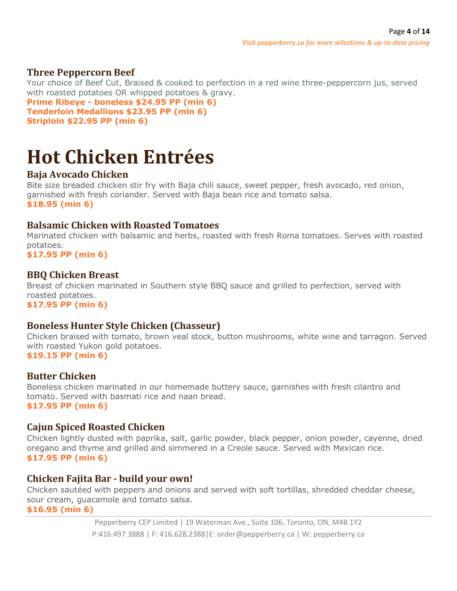#### **Three Peppercorn Beef**

Your choice of Beef Cut, Braised & cooked to perfection in a red wine three-peppercorn jus, served with roasted potatoes OR whipped potatoes & gravy. **Prime Ribeye - boneless \$24.95 PP (min 6) Tenderloin Medallions \$23.95 PP (min 6) Striploin \$22.95 PP (min 6)**

# **Hot Chicken Entrées**

# **Baja Avocado Chicken**

Bite size breaded chicken stir fry with Baja chili sauce, sweet pepper, fresh avocado, red onion, garnished with fresh coriander. Served with Baja bean rice and tomato salsa. **\$18.95 (min 6)**

### **Balsamic Chicken with Roasted Tomatoes**

Marinated chicken with balsamic and herbs, roasted with fresh Roma tomatoes. Serves with roasted potatoes.

**\$17.95 PP (min 6)**

#### **BBQ Chicken Breast**

Breast of chicken marinated in Southern style BBQ sauce and grilled to perfection, served with roasted potatoes.

**\$17.95 PP (min 6)**

#### **Boneless Hunter Style Chicken (Chasseur)**

Chicken braised with tomato, brown veal stock, button mushrooms, white wine and tarragon. Served with roasted Yukon gold potatoes.

**\$19.15 PP (min 6)**

#### **Butter Chicken**

Boneless chicken marinated in our homemade buttery sauce, garnishes with fresh cilantro and tomato. Served with basmati rice and naan bread. **\$17.95 PP (min 6)**

#### **Cajun Spiced Roasted Chicken**

Chicken lightly dusted with paprika, salt, garlic powder, black pepper, onion powder, cayenne, dried oregano and thyme and grilled and simmered in a Creole sauce. Served with Mexican rice. **\$17.95 PP (min 6)**

#### **Chicken Fajita Bar - build your own!**

Chicken sautéed with peppers and onions and served with soft tortillas, shredded cheddar cheese, sour cream, guacamole and tomato salsa.

**\$16.95 (min 6)**

Pepperberry CEP Limited | 19 Waterman Ave., Suite 106, Toronto, ON, M4B 1Y2 P:416.497.3888 | F: 416.628.2388|E: order@pepperberry.ca | W: pepperberry.ca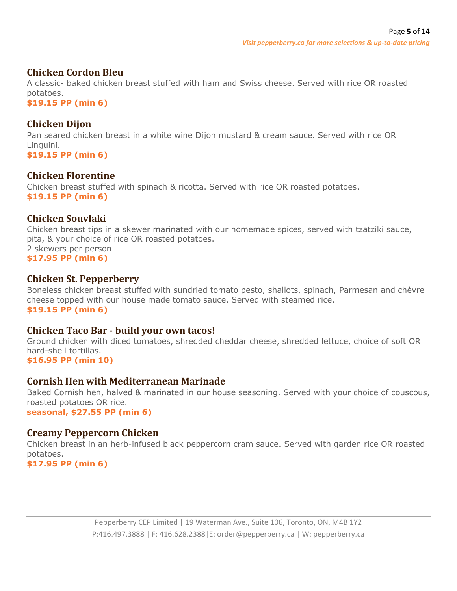#### **Chicken Cordon Bleu**

A classic- baked chicken breast stuffed with ham and Swiss cheese. Served with rice OR roasted potatoes.

**\$19.15 PP (min 6)**

### **Chicken Dijon**

Pan seared chicken breast in a white wine Dijon mustard & cream sauce. Served with rice OR Linguini.

**\$19.15 PP (min 6)**

### **Chicken Florentine**

Chicken breast stuffed with spinach & ricotta. Served with rice OR roasted potatoes. **\$19.15 PP (min 6)**

### **Chicken Souvlaki**

Chicken breast tips in a skewer marinated with our homemade spices, served with tzatziki sauce, pita, & your choice of rice OR roasted potatoes. 2 skewers per person **\$17.95 PP (min 6)**

### **Chicken St. Pepperberry**

Boneless chicken breast stuffed with sundried tomato pesto, shallots, spinach, Parmesan and chèvre cheese topped with our house made tomato sauce. Served with steamed rice. **\$19.15 PP (min 6)**

#### **Chicken Taco Bar - build your own tacos!**

Ground chicken with diced tomatoes, shredded cheddar cheese, shredded lettuce, choice of soft OR hard-shell tortillas.

**\$16.95 PP (min 10)**

#### **Cornish Hen with Mediterranean Marinade**

Baked Cornish hen, halved & marinated in our house seasoning. Served with your choice of couscous, roasted potatoes OR rice. **seasonal, \$27.55 PP (min 6)**

#### **Creamy Peppercorn Chicken**

Chicken breast in an herb-infused black peppercorn cram sauce. Served with garden rice OR roasted potatoes.

**\$17.95 PP (min 6)**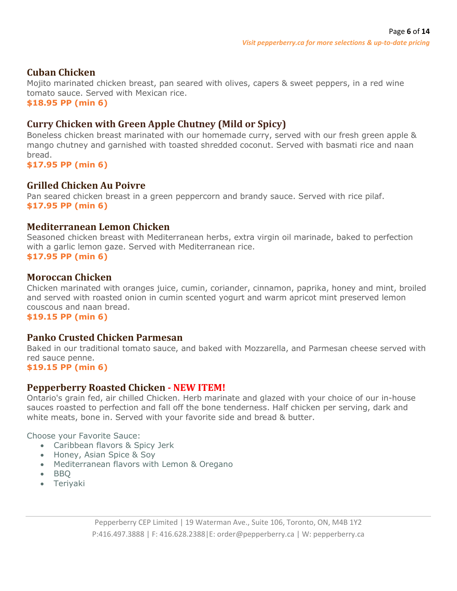### **Cuban Chicken**

Mojito marinated chicken breast, pan seared with olives, capers & sweet peppers, in a red wine tomato sauce. Served with Mexican rice.

**\$18.95 PP (min 6)**

# **Curry Chicken with Green Apple Chutney (Mild or Spicy)**

Boneless chicken breast marinated with our homemade curry, served with our fresh green apple & mango chutney and garnished with toasted shredded coconut. Served with basmati rice and naan bread.

**\$17.95 PP (min 6)**

#### **Grilled Chicken Au Poivre**

Pan seared chicken breast in a green peppercorn and brandy sauce. Served with rice pilaf. **\$17.95 PP (min 6)**

#### **Mediterranean Lemon Chicken**

Seasoned chicken breast with Mediterranean herbs, extra virgin oil marinade, baked to perfection with a garlic lemon gaze. Served with Mediterranean rice. **\$17.95 PP (min 6)**

#### **Moroccan Chicken**

Chicken marinated with oranges juice, cumin, coriander, cinnamon, paprika, honey and mint, broiled and served with roasted onion in cumin scented yogurt and warm apricot mint preserved lemon couscous and naan bread.

**\$19.15 PP (min 6)**

#### **Panko Crusted Chicken Parmesan**

Baked in our traditional tomato sauce, and baked with Mozzarella, and Parmesan cheese served with red sauce penne.

**\$19.15 PP (min 6)**

#### **Pepperberry Roasted Chicken - NEW ITEM!**

Ontario's grain fed, air chilled Chicken. Herb marinate and glazed with your choice of our in-house sauces roasted to perfection and fall off the bone tenderness. Half chicken per serving, dark and white meats, bone in. Served with your favorite side and bread & butter.

Choose your Favorite Sauce:

- Caribbean flavors & Spicy Jerk
- Honey, Asian Spice & Soy
- Mediterranean flavors with Lemon & Oregano
- BBQ
- Teriyaki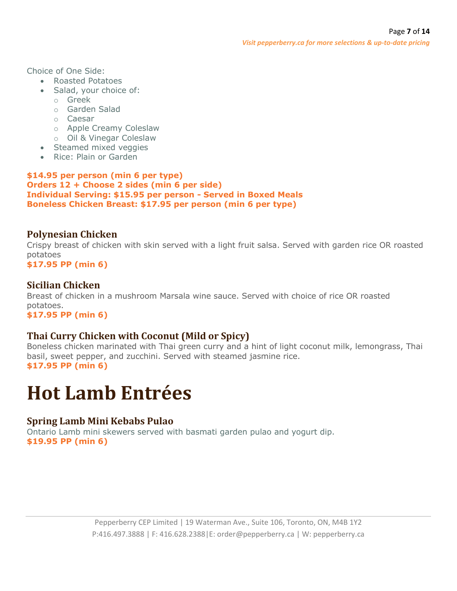Choice of One Side:

- Roasted Potatoes
- Salad, your choice of:
	- o Greek
	- o Garden Salad
	- o Caesar
	- o Apple Creamy Coleslaw
	- o Oil & Vinegar Coleslaw
- Steamed mixed veggies
- Rice: Plain or Garden

#### **\$14.95 per person (min 6 per type) Orders 12 + Choose 2 sides (min 6 per side) Individual Serving: \$15.95 per person - Served in Boxed Meals Boneless Chicken Breast: \$17.95 per person (min 6 per type)**

# **Polynesian Chicken**

Crispy breast of chicken with skin served with a light fruit salsa. Served with garden rice OR roasted potatoes

**\$17.95 PP (min 6)**

# **Sicilian Chicken**

Breast of chicken in a mushroom Marsala wine sauce. Served with choice of rice OR roasted potatoes.

**\$17.95 PP (min 6)**

# **Thai Curry Chicken with Coconut (Mild or Spicy)**

Boneless chicken marinated with Thai green curry and a hint of light coconut milk, lemongrass, Thai basil, sweet pepper, and zucchini. Served with steamed jasmine rice. **\$17.95 PP (min 6)**

# **Hot Lamb Entrées**

# **Spring Lamb Mini Kebabs Pulao**

Ontario Lamb mini skewers served with basmati garden pulao and yogurt dip. **\$19.95 PP (min 6)**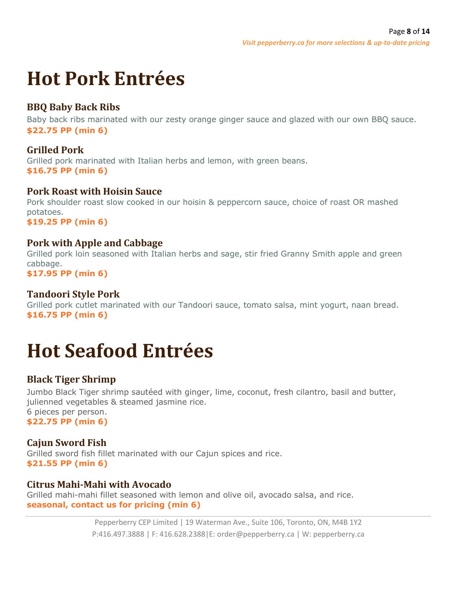# **Hot Pork Entrées**

# **BBQ Baby Back Ribs**

Baby back ribs marinated with our zesty orange ginger sauce and glazed with our own BBQ sauce. **\$22.75 PP (min 6)**

# **Grilled Pork**

Grilled pork marinated with Italian herbs and lemon, with green beans. **\$16.75 PP (min 6)**

#### **Pork Roast with Hoisin Sauce**

Pork shoulder roast slow cooked in our hoisin & peppercorn sauce, choice of roast OR mashed potatoes. **\$19.25 PP (min 6)**

# **Pork with Apple and Cabbage**

Grilled pork loin seasoned with Italian herbs and sage, stir fried Granny Smith apple and green cabbage.

**\$17.95 PP (min 6)**

#### **Tandoori Style Pork**

Grilled pork cutlet marinated with our Tandoori sauce, tomato salsa, mint yogurt, naan bread. **\$16.75 PP (min 6)**

# **Hot Seafood Entrées**

# **Black Tiger Shrimp**

Jumbo Black Tiger shrimp sautéed with ginger, lime, coconut, fresh cilantro, basil and butter, julienned vegetables & steamed jasmine rice. 6 pieces per person. **\$22.75 PP (min 6)**

# **Cajun Sword Fish**

Grilled sword fish fillet marinated with our Cajun spices and rice. **\$21.55 PP (min 6)**

#### **Citrus Mahi-Mahi with Avocado**

Grilled mahi-mahi fillet seasoned with lemon and olive oil, avocado salsa, and rice. **seasonal, contact us for pricing (min 6)**

> Pepperberry CEP Limited | 19 Waterman Ave., Suite 106, Toronto, ON, M4B 1Y2 P:416.497.3888 | F: 416.628.2388|E: order@pepperberry.ca | W: pepperberry.ca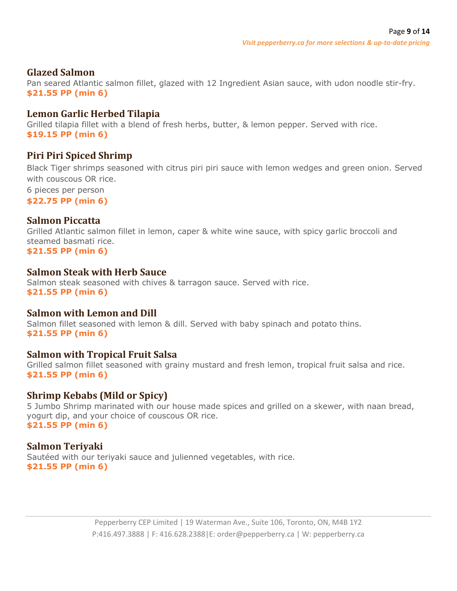#### **Glazed Salmon**

Pan seared Atlantic salmon fillet, glazed with 12 Ingredient Asian sauce, with udon noodle stir-fry. **\$21.55 PP (min 6)**

#### **Lemon Garlic Herbed Tilapia**

Grilled tilapia fillet with a blend of fresh herbs, butter, & lemon pepper. Served with rice. **\$19.15 PP (min 6)**

# **Piri Piri Spiced Shrimp**

Black Tiger shrimps seasoned with citrus piri piri sauce with lemon wedges and green onion. Served with couscous OR rice. 6 pieces per person

**\$22.75 PP (min 6)**

#### **Salmon Piccatta**

Grilled Atlantic salmon fillet in lemon, caper & white wine sauce, with spicy garlic broccoli and steamed basmati rice.

**\$21.55 PP (min 6)**

#### **Salmon Steak with Herb Sauce**

Salmon steak seasoned with chives & tarragon sauce. Served with rice. **\$21.55 PP (min 6)**

#### **Salmon with Lemon and Dill**

Salmon fillet seasoned with lemon & dill. Served with baby spinach and potato thins. **\$21.55 PP (min 6)**

#### **Salmon with Tropical Fruit Salsa**

Grilled salmon fillet seasoned with grainy mustard and fresh lemon, tropical fruit salsa and rice. **\$21.55 PP (min 6)**

#### **Shrimp Kebabs (Mild or Spicy)**

5 Jumbo Shrimp marinated with our house made spices and grilled on a skewer, with naan bread, yogurt dip, and your choice of couscous OR rice. **\$21.55 PP (min 6)**

#### **Salmon Teriyaki**

Sautéed with our teriyaki sauce and julienned vegetables, with rice. **\$21.55 PP (min 6)**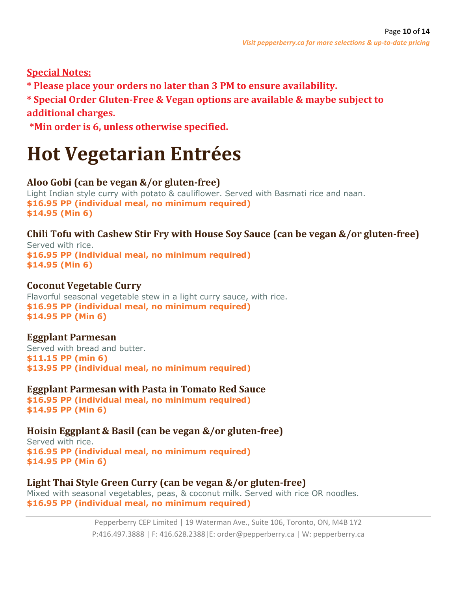# **Special Notes:**

**\* Please place your orders no later than 3 PM to ensure availability.**

**\* Special Order Gluten-Free & Vegan options are available & maybe subject to additional charges.**

**\*Min order is 6, unless otherwise specified.**

# **Hot Vegetarian Entrées**

# **Aloo Gobi (can be vegan &/or gluten-free)**

Light Indian style curry with potato & cauliflower. Served with Basmati rice and naan. **\$16.95 PP (individual meal, no minimum required) \$14.95 (Min 6)**

# **Chili Tofu with Cashew Stir Fry with House Soy Sauce (can be vegan &/or gluten-free)**

Served with rice. **\$16.95 PP (individual meal, no minimum required) \$14.95 (Min 6)**

### **Coconut Vegetable Curry**

Flavorful seasonal vegetable stew in a light curry sauce, with rice. **\$16.95 PP (individual meal, no minimum required) \$14.95 PP (Min 6)**

#### **Eggplant Parmesan**

Served with bread and butter. **\$11.15 PP (min 6) \$13.95 PP (individual meal, no minimum required)**

**Eggplant Parmesan with Pasta in Tomato Red Sauce**

**\$16.95 PP (individual meal, no minimum required) \$14.95 PP (Min 6)**

# **Hoisin Eggplant & Basil (can be vegan &/or gluten-free)**

Served with rice. **\$16.95 PP (individual meal, no minimum required) \$14.95 PP (Min 6)**

# **Light Thai Style Green Curry (can be vegan &/or gluten-free)**

Mixed with seasonal vegetables, peas, & coconut milk. Served with rice OR noodles. **\$16.95 PP (individual meal, no minimum required)**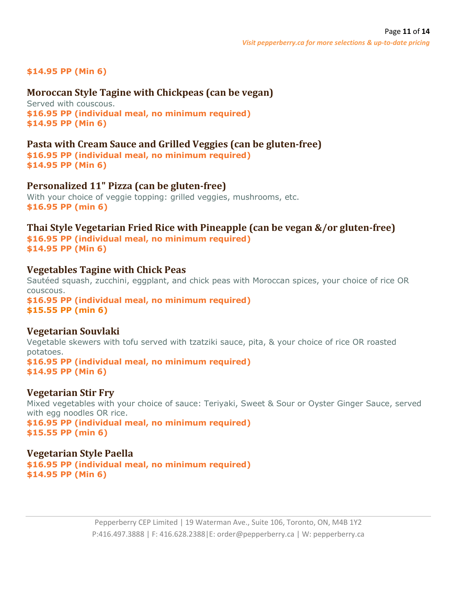#### **\$14.95 PP (Min 6)**

#### **Moroccan Style Tagine with Chickpeas (can be vegan)**

Served with couscous. **\$16.95 PP (individual meal, no minimum required) \$14.95 PP (Min 6)**

#### **Pasta with Cream Sauce and Grilled Veggies (can be gluten-free)**

**\$16.95 PP (individual meal, no minimum required) \$14.95 PP (Min 6)**

#### **Personalized 11" Pizza (can be gluten-free)**

With your choice of veggie topping: grilled veggies, mushrooms, etc. **\$16.95 PP (min 6)**

#### **Thai Style Vegetarian Fried Rice with Pineapple (can be vegan &/or gluten-free) \$16.95 PP (individual meal, no minimum required) \$14.95 PP (Min 6)**

#### **Vegetables Tagine with Chick Peas**

Sautéed squash, zucchini, eggplant, and chick peas with Moroccan spices, your choice of rice OR couscous. **\$16.95 PP (individual meal, no minimum required)**

**\$15.55 PP (min 6)**

#### **Vegetarian Souvlaki**

Vegetable skewers with tofu served with tzatziki sauce, pita, & your choice of rice OR roasted potatoes. **\$16.95 PP (individual meal, no minimum required) \$14.95 PP (Min 6)**

#### **Vegetarian Stir Fry**

Mixed vegetables with your choice of sauce: Teriyaki, Sweet & Sour or Oyster Ginger Sauce, served with egg noodles OR rice.

**\$16.95 PP (individual meal, no minimum required) \$15.55 PP (min 6)**

#### **Vegetarian Style Paella**

**\$16.95 PP (individual meal, no minimum required) \$14.95 PP (Min 6)**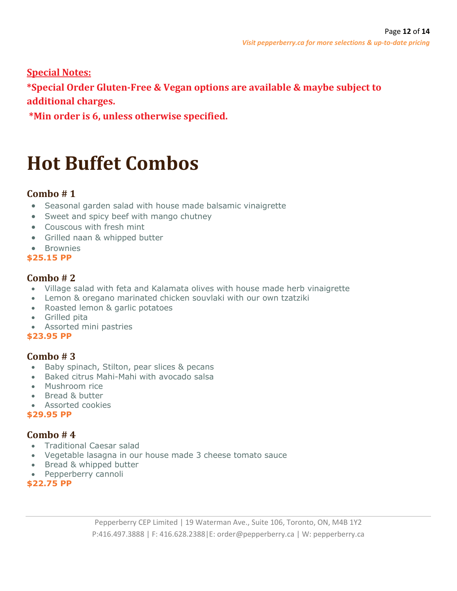**Special Notes:**

**\*Special Order Gluten-Free & Vegan options are available & maybe subject to additional charges.**

**\*Min order is 6, unless otherwise specified.**

# **Hot Buffet Combos**

# **Combo # 1**

- Seasonal garden salad with house made balsamic vinaigrette
- Sweet and spicy beef with mango chutney
- Couscous with fresh mint
- Grilled naan & whipped butter
- Brownies
- **\$25.15 PP**

# **Combo # 2**

- Village salad with feta and Kalamata olives with house made herb vinaigrette
- Lemon & oregano marinated chicken souvlaki with our own tzatziki
- Roasted lemon & garlic potatoes
- Grilled pita
- Assorted mini pastries

#### **\$23.95 PP**

# **Combo # 3**

- Baby spinach, Stilton, pear slices & pecans
- Baked citrus Mahi-Mahi with avocado salsa
- Mushroom rice
- Bread & butter
- Assorted cookies

#### **\$29.95 PP**

# **Combo # 4**

- Traditional Caesar salad
- Vegetable lasagna in our house made 3 cheese tomato sauce
- Bread & whipped butter
- Pepperberry cannoli

**\$22.75 PP**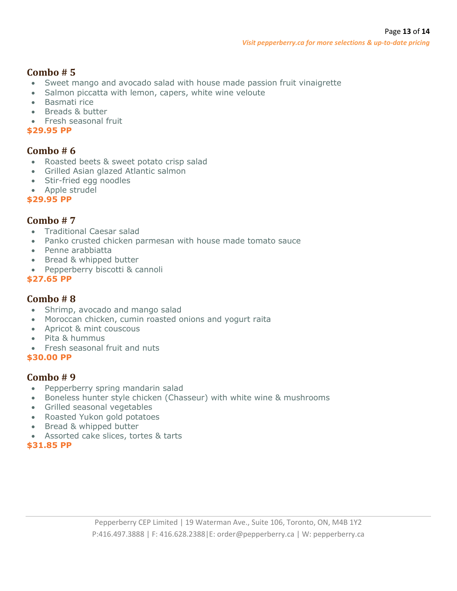# **Combo # 5**

- Sweet mango and avocado salad with house made passion fruit vinaigrette
- Salmon piccatta with lemon, capers, white wine veloute
- Basmati rice
- Breads & butter
- Fresh seasonal fruit

#### **\$29.95 PP**

#### **Combo # 6**

- Roasted beets & sweet potato crisp salad
- Grilled Asian glazed Atlantic salmon
- Stir-fried egg noodles
- Apple strudel

**\$29.95 PP**

#### **Combo # 7**

- Traditional Caesar salad
- Panko crusted chicken parmesan with house made tomato sauce
- Penne arabbiatta
- Bread & whipped butter
- Pepperberry biscotti & cannoli

#### **\$27.65 PP**

#### **Combo # 8**

- Shrimp, avocado and mango salad
- Moroccan chicken, cumin roasted onions and yogurt raita
- Apricot & mint couscous
- Pita & hummus
- Fresh seasonal fruit and nuts

#### **\$30.00 PP**

#### **Combo # 9**

- Pepperberry spring mandarin salad
- Boneless hunter style chicken (Chasseur) with white wine & mushrooms
- Grilled seasonal vegetables
- Roasted Yukon gold potatoes
- Bread & whipped butter
- Assorted cake slices, tortes & tarts

#### **\$31.85 PP**